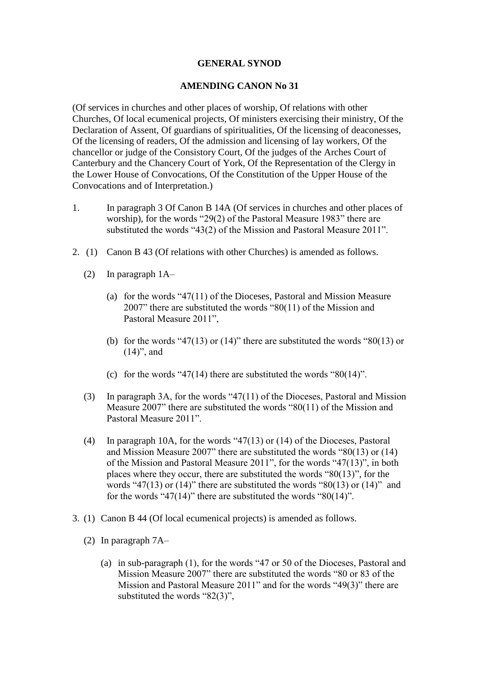## **GENERAL SYNOD**

## **AMENDING CANON No 31**

(Of services in churches and other places of worship, Of relations with other Churches, Of local ecumenical projects, Of ministers exercising their ministry, Of the Declaration of Assent, Of guardians of spiritualities, Of the licensing of deaconesses, Of the licensing of readers, Of the admission and licensing of lay workers, Of the chancellor or judge of the Consistory Court, Of the judges of the Arches Court of Canterbury and the Chancery Court of York, Of the Representation of the Clergy in the Lower House of Convocations, Of the Constitution of the Upper House of the Convocations and of Interpretation.)

- 1. In paragraph 3 Of Canon B 14A (Of services in churches and other places of worship), for the words "29(2) of the Pastoral Measure 1983" there are substituted the words "43(2) of the Mission and Pastoral Measure 2011".
- 2. (1) Canon B 43 (Of relations with other Churches) is amended as follows.
	- (2) In paragraph 1A–
		- (a) for the words "47(11) of the Dioceses, Pastoral and Mission Measure 2007" there are substituted the words "80(11) of the Mission and Pastoral Measure 2011",
		- (b) for the words "47(13) or (14)" there are substituted the words "80(13) or  $(14)$ ", and
		- (c) for the words "47(14) there are substituted the words " $80(14)$ ".
	- (3) In paragraph 3A, for the words "47(11) of the Dioceses, Pastoral and Mission Measure 2007" there are substituted the words "80(11) of the Mission and Pastoral Measure 2011".
	- (4) In paragraph 10A, for the words "47(13) or (14) of the Dioceses, Pastoral and Mission Measure 2007" there are substituted the words "80(13) or (14) of the Mission and Pastoral Measure 2011", for the words "47(13)", in both places where they occur, there are substituted the words "80(13)", for the words "47(13) or (14)" there are substituted the words "80(13) or (14)" and for the words "47(14)" there are substituted the words " $80(14)$ ".
- 3. (1) Canon B 44 (Of local ecumenical projects) is amended as follows.
	- (2) In paragraph 7A–
		- (a) in sub-paragraph (1), for the words "47 or 50 of the Dioceses, Pastoral and Mission Measure 2007" there are substituted the words "80 or 83 of the Mission and Pastoral Measure 2011" and for the words "49(3)" there are substituted the words "82(3)",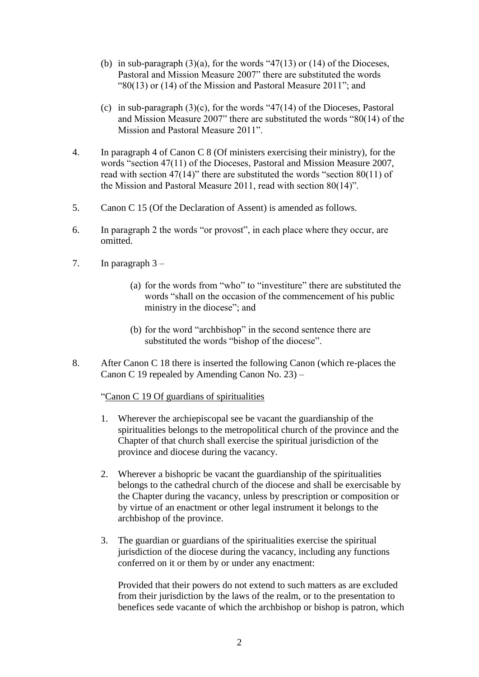- (b) in sub-paragraph  $(3)(a)$ , for the words "47(13) or (14) of the Dioceses, Pastoral and Mission Measure 2007" there are substituted the words "80(13) or (14) of the Mission and Pastoral Measure 2011"; and
- (c) in sub-paragraph  $(3)(c)$ , for the words "47(14) of the Dioceses, Pastoral and Mission Measure 2007" there are substituted the words "80(14) of the Mission and Pastoral Measure 2011".
- 4. In paragraph 4 of Canon C 8 (Of ministers exercising their ministry), for the words "section 47(11) of the Dioceses, Pastoral and Mission Measure 2007, read with section 47(14)" there are substituted the words "section 80(11) of the Mission and Pastoral Measure 2011, read with section 80(14)".
- 5. Canon C 15 (Of the Declaration of Assent) is amended as follows.
- 6. In paragraph 2 the words "or provost", in each place where they occur, are omitted.
- 7. In paragraph 3
	- (a) for the words from "who" to "investiture" there are substituted the words "shall on the occasion of the commencement of his public ministry in the diocese"; and
	- (b) for the word "archbishop" in the second sentence there are substituted the words "bishop of the diocese".
- 8. After Canon C 18 there is inserted the following Canon (which re-places the Canon C 19 repealed by Amending Canon No. 23) –

## "Canon C 19 Of guardians of spiritualities

- 1. Wherever the archiepiscopal see be vacant the guardianship of the spiritualities belongs to the metropolitical church of the province and the Chapter of that church shall exercise the spiritual jurisdiction of the province and diocese during the vacancy.
- 2. Wherever a bishopric be vacant the guardianship of the spiritualities belongs to the cathedral church of the diocese and shall be exercisable by the Chapter during the vacancy, unless by prescription or composition or by virtue of an enactment or other legal instrument it belongs to the archbishop of the province.
- 3. The guardian or guardians of the spiritualities exercise the spiritual jurisdiction of the diocese during the vacancy, including any functions conferred on it or them by or under any enactment:

Provided that their powers do not extend to such matters as are excluded from their jurisdiction by the laws of the realm, or to the presentation to benefices sede vacante of which the archbishop or bishop is patron, which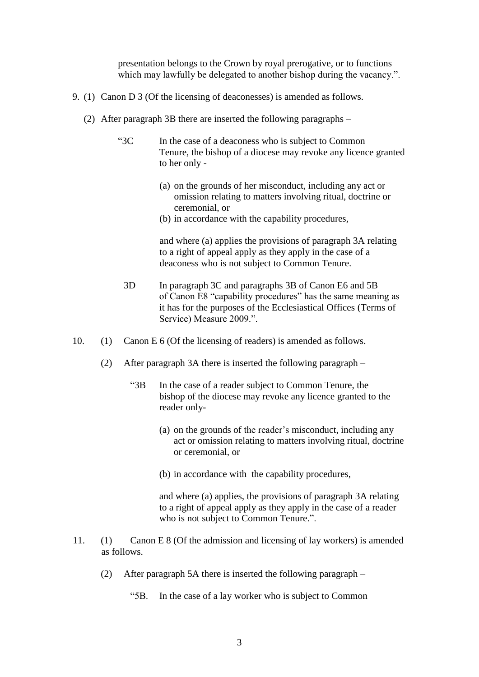presentation belongs to the Crown by royal prerogative, or to functions which may lawfully be delegated to another bishop during the vacancy.".

- 9. (1) Canon D 3 (Of the licensing of deaconesses) is amended as follows.
	- (2) After paragraph 3B there are inserted the following paragraphs
		- "3C In the case of a deaconess who is subject to Common Tenure, the bishop of a diocese may revoke any licence granted to her only -
			- (a) on the grounds of her misconduct, including any act or omission relating to matters involving ritual, doctrine or ceremonial, or
			- (b) in accordance with the capability procedures,

and where (a) applies the provisions of paragraph 3A relating to a right of appeal apply as they apply in the case of a deaconess who is not subject to Common Tenure.

- 3D In paragraph 3C and paragraphs 3B of Canon E6 and 5B of Canon E8 "capability procedures" has the same meaning as it has for the purposes of the Ecclesiastical Offices (Terms of Service) Measure 2009.".
- 10. (1) Canon E 6 (Of the licensing of readers) is amended as follows.
	- (2) After paragraph 3A there is inserted the following paragraph
		- "3B In the case of a reader subject to Common Tenure, the bishop of the diocese may revoke any licence granted to the reader only-
			- (a) on the grounds of the reader's misconduct, including any act or omission relating to matters involving ritual, doctrine or ceremonial, or
			- (b) in accordance with the capability procedures,

and where (a) applies, the provisions of paragraph 3A relating to a right of appeal apply as they apply in the case of a reader who is not subject to Common Tenure.".

- 11. (1) Canon E 8 (Of the admission and licensing of lay workers) is amended as follows.
	- (2) After paragraph 5A there is inserted the following paragraph
		- "5B. In the case of a lay worker who is subject to Common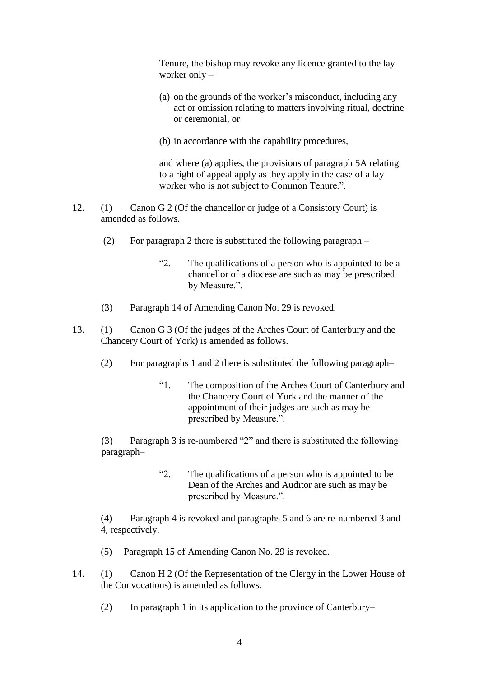Tenure, the bishop may revoke any licence granted to the lay worker only –

- (a) on the grounds of the worker's misconduct, including any act or omission relating to matters involving ritual, doctrine or ceremonial, or
- (b) in accordance with the capability procedures,

and where (a) applies, the provisions of paragraph 5A relating to a right of appeal apply as they apply in the case of a lay worker who is not subject to Common Tenure.".

- 12. (1) Canon G 2 (Of the chancellor or judge of a Consistory Court) is amended as follows.
	- (2) For paragraph 2 there is substituted the following paragraph  $-$ 
		- "2. The qualifications of a person who is appointed to be a chancellor of a diocese are such as may be prescribed by Measure.".
	- (3) Paragraph 14 of Amending Canon No. 29 is revoked.
- 13. (1) Canon G 3 (Of the judges of the Arches Court of Canterbury and the Chancery Court of York) is amended as follows.
	- (2) For paragraphs 1 and 2 there is substituted the following paragraph–
		- "1. The composition of the Arches Court of Canterbury and the Chancery Court of York and the manner of the appointment of their judges are such as may be prescribed by Measure.".

(3) Paragraph 3 is re-numbered "2" and there is substituted the following paragraph–

> "2. The qualifications of a person who is appointed to be Dean of the Arches and Auditor are such as may be prescribed by Measure.".

(4) Paragraph 4 is revoked and paragraphs 5 and 6 are re-numbered 3 and 4, respectively.

- (5) Paragraph 15 of Amending Canon No. 29 is revoked.
- 14. (1) Canon H 2 (Of the Representation of the Clergy in the Lower House of the Convocations) is amended as follows.
	- (2) In paragraph 1 in its application to the province of Canterbury–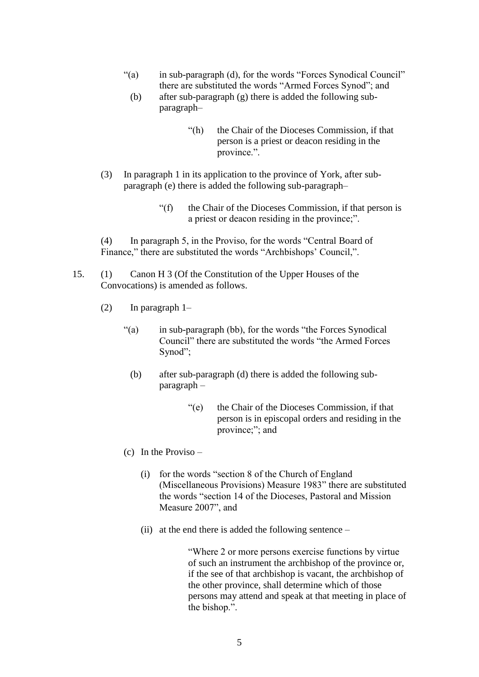- "(a) in sub-paragraph (d), for the words "Forces Synodical Council" there are substituted the words "Armed Forces Synod"; and
	- (b) after sub-paragraph (g) there is added the following subparagraph–
		- "(h) the Chair of the Dioceses Commission, if that person is a priest or deacon residing in the province.".
- (3) In paragraph 1 in its application to the province of York, after subparagraph (e) there is added the following sub-paragraph–
	- "(f) the Chair of the Dioceses Commission, if that person is a priest or deacon residing in the province;".

(4) In paragraph 5, in the Proviso, for the words "Central Board of Finance," there are substituted the words "Archbishops' Council,".

- 15. (1) Canon H 3 (Of the Constitution of the Upper Houses of the Convocations) is amended as follows.
	- (2) In paragraph 1–
		- "(a) in sub-paragraph (bb), for the words "the Forces Synodical Council" there are substituted the words "the Armed Forces Synod";
			- (b) after sub-paragraph (d) there is added the following subparagraph –
				- "(e) the Chair of the Dioceses Commission, if that person is in episcopal orders and residing in the province;"; and
		- (c) In the Proviso
			- (i) for the words "section 8 of the Church of England (Miscellaneous Provisions) Measure 1983" there are substituted the words "section 14 of the Dioceses, Pastoral and Mission Measure 2007", and
			- (ii) at the end there is added the following sentence –

"Where 2 or more persons exercise functions by virtue of such an instrument the archbishop of the province or, if the see of that archbishop is vacant, the archbishop of the other province, shall determine which of those persons may attend and speak at that meeting in place of the bishop.".